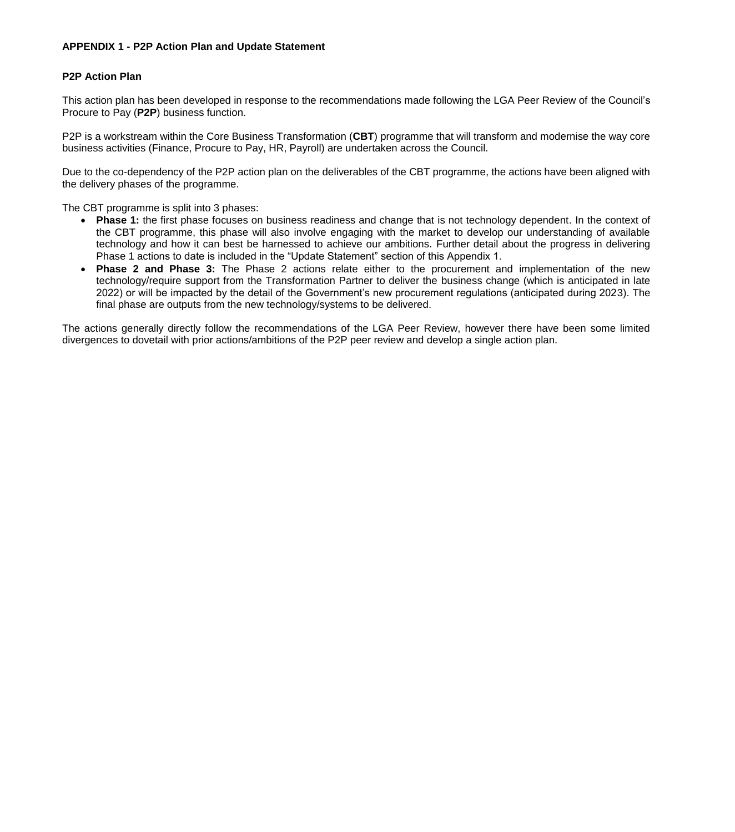# **APPENDIX 1 - P2P Action Plan and Update Statement**

# **P2P Action Plan**

This action plan has been developed in response to the recommendations made following the LGA Peer Review of the Council's Procure to Pay (**P2P**) business function.

P2P is a workstream within the Core Business Transformation (**CBT**) programme that will transform and modernise the way core business activities (Finance, Procure to Pay, HR, Payroll) are undertaken across the Council.

Due to the co-dependency of the P2P action plan on the deliverables of the CBT programme, the actions have been aligned with the delivery phases of the programme.

The CBT programme is split into 3 phases:

- **Phase 1:** the first phase focuses on business readiness and change that is not technology dependent. In the context of the CBT programme, this phase will also involve engaging with the market to develop our understanding of available technology and how it can best be harnessed to achieve our ambitions. Further detail about the progress in delivering Phase 1 actions to date is included in the "Update Statement" section of this Appendix 1.
- **Phase 2 and Phase 3:** The Phase 2 actions relate either to the procurement and implementation of the new technology/require support from the Transformation Partner to deliver the business change (which is anticipated in late 2022) or will be impacted by the detail of the Government's new procurement regulations (anticipated during 2023). The final phase are outputs from the new technology/systems to be delivered.

The actions generally directly follow the recommendations of the LGA Peer Review, however there have been some limited divergences to dovetail with prior actions/ambitions of the P2P peer review and develop a single action plan.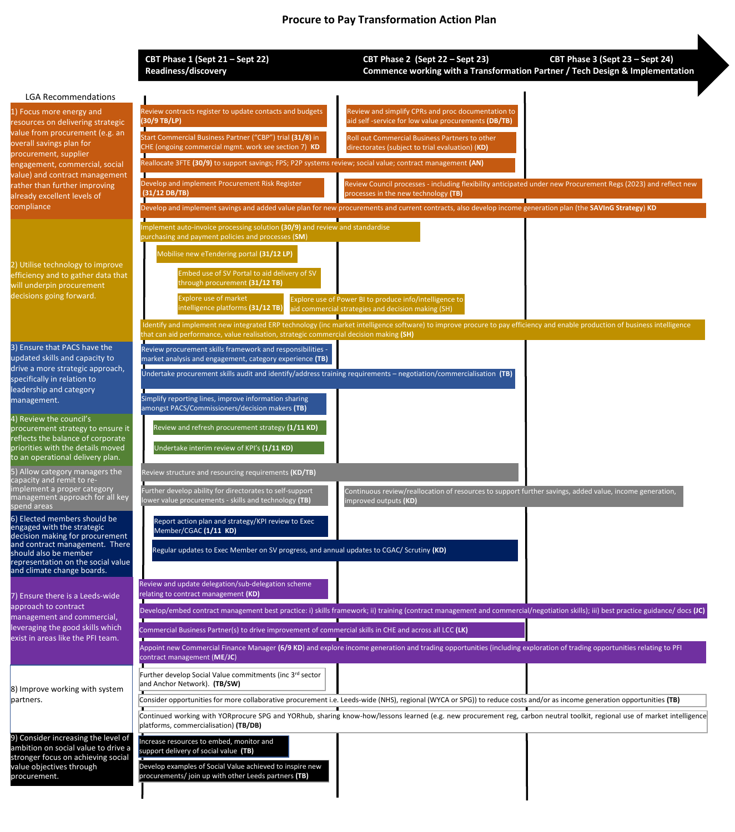**CBT Phase 1 (Sept 21 – Sept 22) CBT Phase 2 (Sept 22 – Sept 23) CBT Phase 3 (Sept 23 – Sept 24) Readiness/discovery Commence working with a Transformation Partner / Tech Design & Implementation**

#### LGA Recommendations

| <b>LGA Recommendations</b>                                                                                                                                                                                                   |                                                                                                                                                                                                                                                                       |                                                                                                                                                        |  |  |
|------------------------------------------------------------------------------------------------------------------------------------------------------------------------------------------------------------------------------|-----------------------------------------------------------------------------------------------------------------------------------------------------------------------------------------------------------------------------------------------------------------------|--------------------------------------------------------------------------------------------------------------------------------------------------------|--|--|
| 1) Focus more energy and<br>resources on delivering strategic<br>value from procurement (e.g. an<br>overall savings plan for<br>procurement, supplier                                                                        | Review contracts register to update contacts and budgets<br>(30/9 TB/LP)                                                                                                                                                                                              | Review and simplify CPRs and proc documentation to<br>aid self-service for low value procurements (DB/TB)                                              |  |  |
|                                                                                                                                                                                                                              | Start Commercial Business Partner ("CBP") trial (31/8) in<br>CHE (ongoing commercial mgmt. work see section 7) KD                                                                                                                                                     | Roll out Commercial Business Partners to other<br>directorates (subject to trial evaluation) (KD)                                                      |  |  |
| engagement, commercial, social                                                                                                                                                                                               | Reallocate 3FTE (30/9) to support savings; FPS; P2P systems review; social value; contract management (AN)                                                                                                                                                            |                                                                                                                                                        |  |  |
| value) and contract management<br>rather than further improving<br>already excellent levels of<br>compliance                                                                                                                 | Develop and implement Procurement Risk Register<br>$(31/12)$ DB/TB)                                                                                                                                                                                                   | Review Council processes - including flexibility anticipated under new Procurement Regs (2023) and reflect new<br>processes in the new technology (TB) |  |  |
|                                                                                                                                                                                                                              | Develop and implement savings and added value plan for new procurements and current contracts, also develop income generation plan (the SAVInG Strategy) KD                                                                                                           |                                                                                                                                                        |  |  |
| 2) Utilise technology to improve<br>efficiency and to gather data that<br>will underpin procurement<br>decisions going forward.                                                                                              | mplement auto-invoice processing solution (30/9) and review and standardise<br>purchasing and payment policies and processes (SM)                                                                                                                                     |                                                                                                                                                        |  |  |
|                                                                                                                                                                                                                              | Mobilise new eTendering portal (31/12 LP)                                                                                                                                                                                                                             |                                                                                                                                                        |  |  |
|                                                                                                                                                                                                                              | Embed use of SV Portal to aid delivery of SV<br>through procurement (31/12 TB)                                                                                                                                                                                        |                                                                                                                                                        |  |  |
|                                                                                                                                                                                                                              | <b>Explore use of market</b><br>intelligence platforms (31/12 TB)                                                                                                                                                                                                     | Explore use of Power BI to produce info/intelligence to<br>aid commercial strategies and decision making (SH)                                          |  |  |
|                                                                                                                                                                                                                              | Identify and implement new integrated ERP technology (inc market intelligence software) to improve procure to pay efficiency and enable production of business intelligence<br>that can aid performance, value realisation, strategic commercial decision making (SH) |                                                                                                                                                        |  |  |
| 3) Ensure that PACS have the<br>updated skills and capacity to<br>drive a more strategic approach,<br>specifically in relation to<br>leadership and category<br>management.                                                  | Review procurement skills framework and responsibilities -<br>market analysis and engagement, category experience (TB)                                                                                                                                                |                                                                                                                                                        |  |  |
|                                                                                                                                                                                                                              | Undertake procurement skills audit and identify/address training requirements - negotiation/commercialisation (TB)                                                                                                                                                    |                                                                                                                                                        |  |  |
|                                                                                                                                                                                                                              | Simplify reporting lines, improve information sharing<br>amongst PACS/Commissioners/decision makers (TB)                                                                                                                                                              |                                                                                                                                                        |  |  |
| 4) Review the council's<br>procurement strategy to ensure it<br>reflects the balance of corporate<br>priorities with the details moved<br>to an operational delivery plan.                                                   | Review and refresh procurement strategy (1/11 KD)                                                                                                                                                                                                                     |                                                                                                                                                        |  |  |
|                                                                                                                                                                                                                              | Undertake interim review of KPI's (1/11 KD)                                                                                                                                                                                                                           |                                                                                                                                                        |  |  |
| 5) Allow category managers the<br>capacity and remit to re-                                                                                                                                                                  | Review structure and resourcing requirements (KD/TB)                                                                                                                                                                                                                  |                                                                                                                                                        |  |  |
| implement a proper category<br>management approach for all key<br>spend areas                                                                                                                                                | Further develop ability for directorates to self-support<br>lower value procurements - skills and technology (TB)                                                                                                                                                     | Continuous review/reallocation of resources to support further savings, added value, income generation,<br>improved outputs <b>(KD)</b>                |  |  |
| 6) Elected members should be<br>engaged with the strategic<br>decision making for procurement<br>and contract management. There<br>should also be member<br>representation on the social value<br>and climate change boards. | Report action plan and strategy/KPI review to Exec<br>Member/CGAC (1/11 KD)                                                                                                                                                                                           |                                                                                                                                                        |  |  |
|                                                                                                                                                                                                                              | Regular updates to Exec Member on SV progress, and annual updates to CGAC/ Scrutiny (KD)                                                                                                                                                                              |                                                                                                                                                        |  |  |
| 7) Ensure there is a Leeds-wide<br>approach to contract<br>management and commercial,<br>leveraging the good skills which<br>exist in areas like the PFI team.                                                               | Review and update delegation/sub-delegation scheme<br>relating to contract management (KD)                                                                                                                                                                            |                                                                                                                                                        |  |  |
|                                                                                                                                                                                                                              | Develop/embed contract management best practice: i) skills framework; ii) training (contract management and commercial/negotiation skills); iii) best practice guidance/ docs (JC)                                                                                    |                                                                                                                                                        |  |  |
|                                                                                                                                                                                                                              | Commercial Business Partner(s) to drive improvement of commercial skills in CHE and across all LCC (LK)                                                                                                                                                               |                                                                                                                                                        |  |  |
|                                                                                                                                                                                                                              | Appoint new Commercial Finance Manager (6/9 KD) and explore income generation and trading opportunities (including exploration of trading opportunities relating to PFI<br>contract management (ME/JC)                                                                |                                                                                                                                                        |  |  |
| 8) Improve working with system<br>partners.                                                                                                                                                                                  | Further develop Social Value commitments (inc 3rd sector<br>and Anchor Network). (TB/SW)                                                                                                                                                                              |                                                                                                                                                        |  |  |
|                                                                                                                                                                                                                              | Consider opportunities for more collaborative procurement i.e. Leeds-wide (NHS), regional (WYCA or SPG)) to reduce costs and/or as income generation opportunities (TB)                                                                                               |                                                                                                                                                        |  |  |
|                                                                                                                                                                                                                              | Continued working with YORprocure SPG and YORhub, sharing know-how/lessons learned (e.g. new procurement reg, carbon neutral toolkit, regional use of market intelligence<br>platforms, commercialisation) (TB/DB)                                                    |                                                                                                                                                        |  |  |
| 9) Consider increasing the level of<br>ambition on social value to drive a<br>stronger focus on achieving social                                                                                                             | Increase resources to embed, monitor and<br>support delivery of social value (TB)                                                                                                                                                                                     |                                                                                                                                                        |  |  |
| value objectives through<br>procurement.                                                                                                                                                                                     | Develop examples of Social Value achieved to inspire new<br>procurements/ join up with other Leeds partners (TB)                                                                                                                                                      |                                                                                                                                                        |  |  |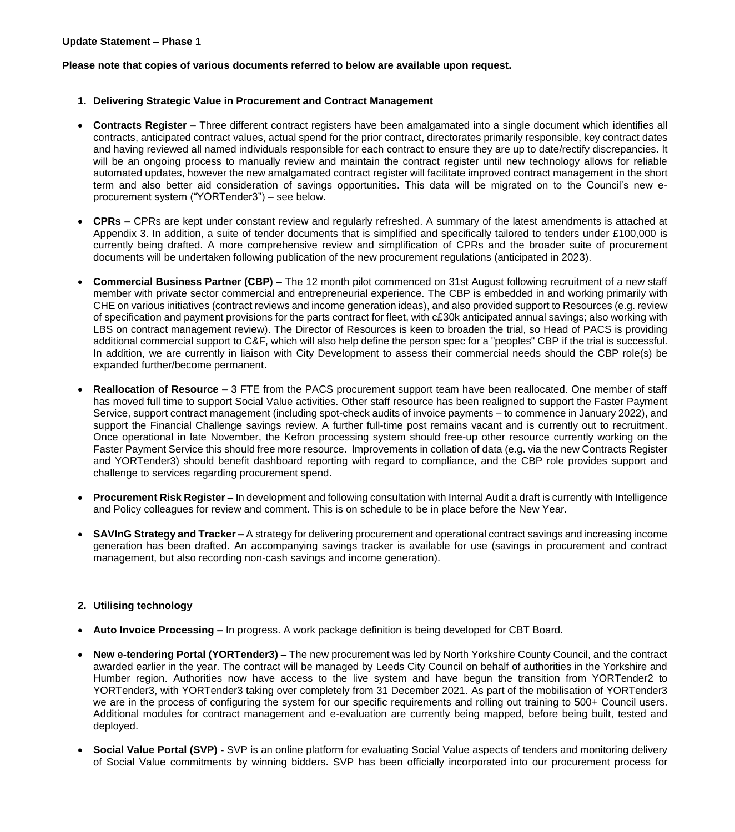**Please note that copies of various documents referred to below are available upon request.**

- **1. Delivering Strategic Value in Procurement and Contract Management**
- **Contracts Register –** Three different contract registers have been amalgamated into a single document which identifies all contracts, anticipated contract values, actual spend for the prior contract, directorates primarily responsible, key contract dates and having reviewed all named individuals responsible for each contract to ensure they are up to date/rectify discrepancies. It will be an ongoing process to manually review and maintain the contract register until new technology allows for reliable automated updates, however the new amalgamated contract register will facilitate improved contract management in the short term and also better aid consideration of savings opportunities. This data will be migrated on to the Council's new eprocurement system ("YORTender3") – see below.
- **CPRs –** CPRs are kept under constant review and regularly refreshed. A summary of the latest amendments is attached at Appendix 3. In addition, a suite of tender documents that is simplified and specifically tailored to tenders under £100,000 is currently being drafted. A more comprehensive review and simplification of CPRs and the broader suite of procurement documents will be undertaken following publication of the new procurement regulations (anticipated in 2023).
- **Commercial Business Partner (CBP) –** The 12 month pilot commenced on 31st August following recruitment of a new staff member with private sector commercial and entrepreneurial experience. The CBP is embedded in and working primarily with CHE on various initiatives (contract reviews and income generation ideas), and also provided support to Resources (e.g. review of specification and payment provisions for the parts contract for fleet, with c£30k anticipated annual savings; also working with LBS on contract management review). The Director of Resources is keen to broaden the trial, so Head of PACS is providing additional commercial support to C&F, which will also help define the person spec for a "peoples" CBP if the trial is successful. In addition, we are currently in liaison with City Development to assess their commercial needs should the CBP role(s) be expanded further/become permanent.
- **Reallocation of Resource –** 3 FTE from the PACS procurement support team have been reallocated. One member of staff has moved full time to support Social Value activities. Other staff resource has been realigned to support the Faster Payment Service, support contract management (including spot-check audits of invoice payments – to commence in January 2022), and support the Financial Challenge savings review. A further full-time post remains vacant and is currently out to recruitment. Once operational in late November, the Kefron processing system should free-up other resource currently working on the Faster Payment Service this should free more resource. Improvements in collation of data (e.g. via the new Contracts Register and YORTender3) should benefit dashboard reporting with regard to compliance, and the CBP role provides support and challenge to services regarding procurement spend.
- **Procurement Risk Register –** In development and following consultation with Internal Audit a draft is currently with Intelligence and Policy colleagues for review and comment. This is on schedule to be in place before the New Year.
- **SAVInG Strategy and Tracker –** A strategy for delivering procurement and operational contract savings and increasing income generation has been drafted. An accompanying savings tracker is available for use (savings in procurement and contract management, but also recording non-cash savings and income generation).

# **2. Utilising technology**

- **Auto Invoice Processing –** In progress. A work package definition is being developed for CBT Board.
- **New e-tendering Portal (YORTender3) –** The new procurement was led by North Yorkshire County Council, and the contract awarded earlier in the year. The contract will be managed by Leeds City Council on behalf of authorities in the Yorkshire and Humber region. Authorities now have access to the live system and have begun the transition from YORTender2 to YORTender3, with YORTender3 taking over completely from 31 December 2021. As part of the mobilisation of YORTender3 we are in the process of configuring the system for our specific requirements and rolling out training to 500+ Council users. Additional modules for contract management and e-evaluation are currently being mapped, before being built, tested and deployed.
- **Social Value Portal (SVP) -** SVP is an online platform for evaluating Social Value aspects of tenders and monitoring delivery of Social Value commitments by winning bidders. SVP has been officially incorporated into our procurement process for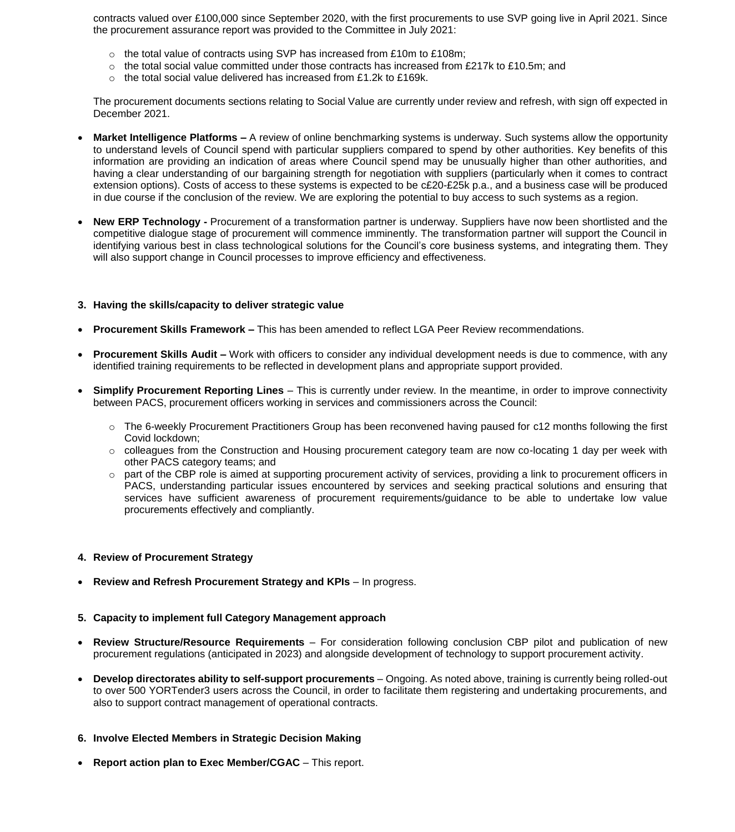contracts valued over £100,000 since September 2020, with the first procurements to use SVP going live in April 2021. Since the procurement assurance report was provided to the Committee in July 2021:

- o the total value of contracts using SVP has increased from £10m to £108m;
- $\circ$  the total social value committed under those contracts has increased from £217k to £10.5m; and
- o the total social value delivered has increased from £1.2k to £169k.

The procurement documents sections relating to Social Value are currently under review and refresh, with sign off expected in December 2021.

- **Market Intelligence Platforms –** A review of online benchmarking systems is underway. Such systems allow the opportunity to understand levels of Council spend with particular suppliers compared to spend by other authorities. Key benefits of this information are providing an indication of areas where Council spend may be unusually higher than other authorities, and having a clear understanding of our bargaining strength for negotiation with suppliers (particularly when it comes to contract extension options). Costs of access to these systems is expected to be c£20-£25k p.a., and a business case will be produced in due course if the conclusion of the review. We are exploring the potential to buy access to such systems as a region.
- **New ERP Technology -** Procurement of a transformation partner is underway. Suppliers have now been shortlisted and the competitive dialogue stage of procurement will commence imminently. The transformation partner will support the Council in identifying various best in class technological solutions for the Council's core business systems, and integrating them. They will also support change in Council processes to improve efficiency and effectiveness.

#### **3. Having the skills/capacity to deliver strategic value**

- **Procurement Skills Framework –** This has been amended to reflect LGA Peer Review recommendations.
- **Procurement Skills Audit –** Work with officers to consider any individual development needs is due to commence, with any identified training requirements to be reflected in development plans and appropriate support provided.
- **Simplify Procurement Reporting Lines** This is currently under review. In the meantime, in order to improve connectivity between PACS, procurement officers working in services and commissioners across the Council:
	- o The 6-weekly Procurement Practitioners Group has been reconvened having paused for c12 months following the first Covid lockdown;
	- o colleagues from the Construction and Housing procurement category team are now co-locating 1 day per week with other PACS category teams; and
	- part of the CBP role is aimed at supporting procurement activity of services, providing a link to procurement officers in PACS, understanding particular issues encountered by services and seeking practical solutions and ensuring that services have sufficient awareness of procurement requirements/guidance to be able to undertake low value procurements effectively and compliantly.

# **4. Review of Procurement Strategy**

**Review and Refresh Procurement Strategy and KPIs** – In progress.

#### **5. Capacity to implement full Category Management approach**

- **Review Structure/Resource Requirements** For consideration following conclusion CBP pilot and publication of new procurement regulations (anticipated in 2023) and alongside development of technology to support procurement activity.
- **Develop directorates ability to self-support procurements** Ongoing. As noted above, training is currently being rolled-out to over 500 YORTender3 users across the Council, in order to facilitate them registering and undertaking procurements, and also to support contract management of operational contracts.

# **6. Involve Elected Members in Strategic Decision Making**

**Report action plan to Exec Member/CGAC** – This report.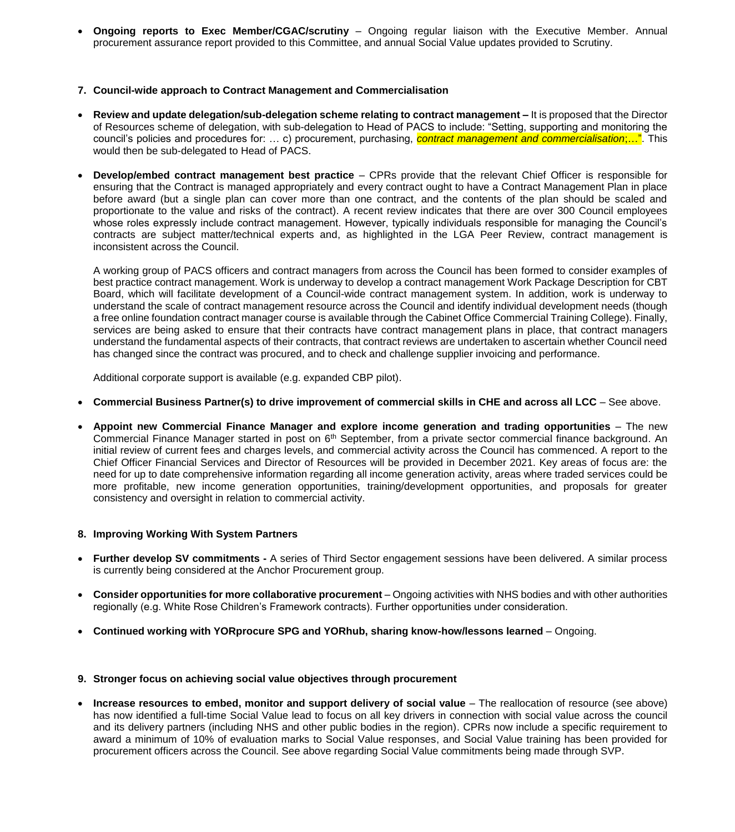**Ongoing reports to Exec Member/CGAC/scrutiny** – Ongoing regular liaison with the Executive Member. Annual procurement assurance report provided to this Committee, and annual Social Value updates provided to Scrutiny.

#### **7. Council-wide approach to Contract Management and Commercialisation**

- **Review and update delegation/sub-delegation scheme relating to contract management –** It is proposed that the Director of Resources scheme of delegation, with sub-delegation to Head of PACS to include: "Setting, supporting and monitoring the council's policies and procedures for: … c) procurement, purchasing, *contract management and commercialisation*;…". This would then be sub-delegated to Head of PACS.
- **Develop/embed contract management best practice** CPRs provide that the relevant Chief Officer is responsible for ensuring that the Contract is managed appropriately and every contract ought to have a Contract Management Plan in place before award (but a single plan can cover more than one contract, and the contents of the plan should be scaled and proportionate to the value and risks of the contract). A recent review indicates that there are over 300 Council employees whose roles expressly include contract management. However, typically individuals responsible for managing the Council's contracts are subject matter/technical experts and, as highlighted in the LGA Peer Review, contract management is inconsistent across the Council.

A working group of PACS officers and contract managers from across the Council has been formed to consider examples of best practice contract management. Work is underway to develop a contract management Work Package Description for CBT Board, which will facilitate development of a Council-wide contract management system. In addition, work is underway to understand the scale of contract management resource across the Council and identify individual development needs (though a free online foundation contract manager course is available through the Cabinet Office Commercial Training College). Finally, services are being asked to ensure that their contracts have contract management plans in place, that contract managers understand the fundamental aspects of their contracts, that contract reviews are undertaken to ascertain whether Council need has changed since the contract was procured, and to check and challenge supplier invoicing and performance.

Additional corporate support is available (e.g. expanded CBP pilot).

- **Commercial Business Partner(s) to drive improvement of commercial skills in CHE and across all LCC** See above.
- **Appoint new Commercial Finance Manager and explore income generation and trading opportunities** The new Commercial Finance Manager started in post on 6<sup>th</sup> September, from a private sector commercial finance background. An initial review of current fees and charges levels, and commercial activity across the Council has commenced. A report to the Chief Officer Financial Services and Director of Resources will be provided in December 2021. Key areas of focus are: the need for up to date comprehensive information regarding all income generation activity, areas where traded services could be more profitable, new income generation opportunities, training/development opportunities, and proposals for greater consistency and oversight in relation to commercial activity.

# **8. Improving Working With System Partners**

- **Further develop SV commitments -** A series of Third Sector engagement sessions have been delivered. A similar process is currently being considered at the Anchor Procurement group.
- **Consider opportunities for more collaborative procurement** Ongoing activities with NHS bodies and with other authorities regionally (e.g. White Rose Children's Framework contracts). Further opportunities under consideration.
- **Continued working with YORprocure SPG and YORhub, sharing know-how/lessons learned Ongoing.**

#### **9. Stronger focus on achieving social value objectives through procurement**

 **Increase resources to embed, monitor and support delivery of social value** – The reallocation of resource (see above) has now identified a full-time Social Value lead to focus on all key drivers in connection with social value across the council and its delivery partners (including NHS and other public bodies in the region). CPRs now include a specific requirement to award a minimum of 10% of evaluation marks to Social Value responses, and Social Value training has been provided for procurement officers across the Council. See above regarding Social Value commitments being made through SVP.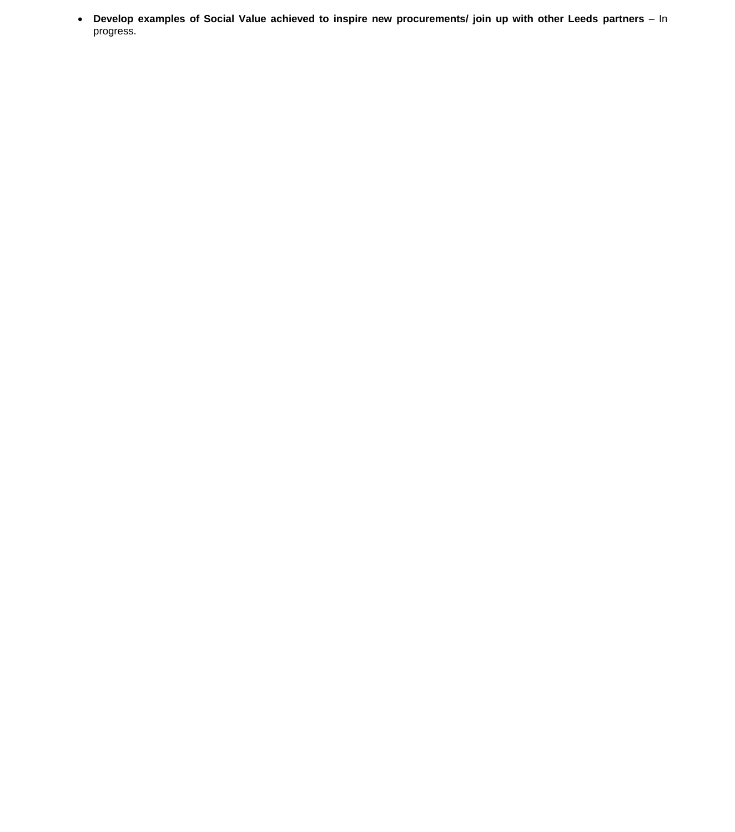**Develop examples of Social Value achieved to inspire new procurements/ join up with other Leeds partners** – In progress.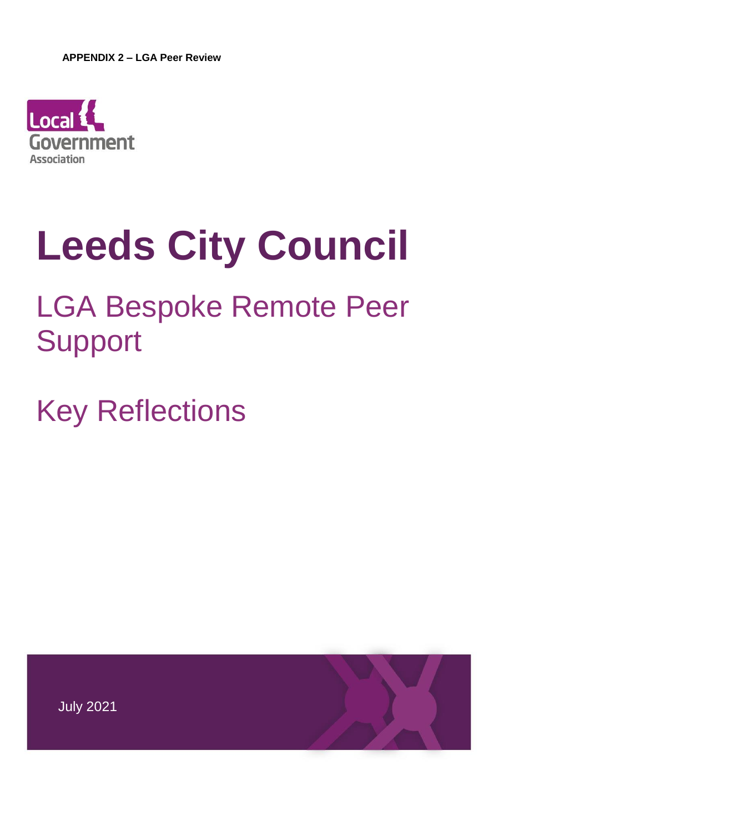

# **Leeds City Council**

# LGA Bespoke Remote Peer Support

Key Reflections

July 2021

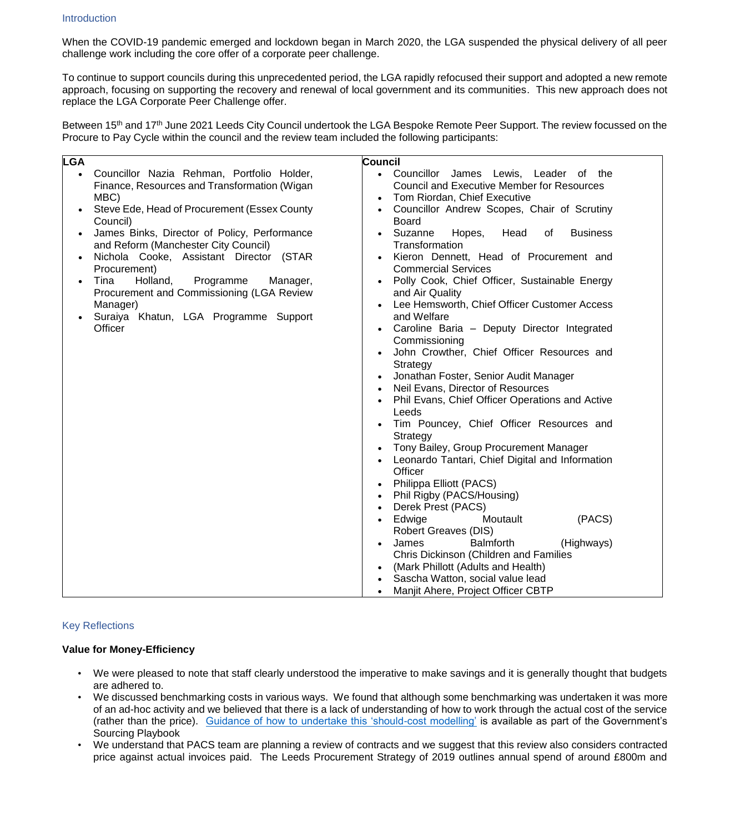When the COVID-19 pandemic emerged and lockdown began in March 2020, the LGA suspended the physical delivery of all peer challenge work including the core offer of a corporate peer challenge.

To continue to support councils during this unprecedented period, the LGA rapidly refocused their support and adopted a new remote approach, focusing on supporting the recovery and renewal of local government and its communities. This new approach does not replace the LGA Corporate Peer Challenge offer.

Between 15<sup>th</sup> and 17<sup>th</sup> June 2021 Leeds City Council undertook the LGA Bespoke Remote Peer Support. The review focussed on the Procure to Pay Cycle within the council and the review team included the following participants:

| <b>LGA</b>                                             |                                                         | Council                                                                  |
|--------------------------------------------------------|---------------------------------------------------------|--------------------------------------------------------------------------|
| $\bullet$                                              | Councillor Nazia Rehman, Portfolio Holder,              | • Councillor James Lewis, Leader of the                                  |
|                                                        | Finance, Resources and Transformation (Wigan            | <b>Council and Executive Member for Resources</b>                        |
|                                                        | MBC)                                                    | Tom Riordan, Chief Executive                                             |
|                                                        | Steve Ede, Head of Procurement (Essex County            | Councillor Andrew Scopes, Chair of Scrutiny<br>$\bullet$                 |
|                                                        | Council)                                                | <b>Board</b>                                                             |
|                                                        | James Binks, Director of Policy, Performance            | Suzanne<br>Hopes,<br>Head<br><b>Business</b><br>0f<br>$\bullet$          |
|                                                        | and Reform (Manchester City Council)                    | Transformation                                                           |
|                                                        | Nichola Cooke, Assistant Director (STAR<br>Procurement) | Kieron Dennett, Head of Procurement and<br><b>Commercial Services</b>    |
| Tina<br>Holland,<br>Programme<br>Manager,<br>$\bullet$ |                                                         | Polly Cook, Chief Officer, Sustainable Energy                            |
| Procurement and Commissioning (LGA Review              |                                                         | and Air Quality                                                          |
|                                                        | Manager)                                                | Lee Hemsworth, Chief Officer Customer Access                             |
|                                                        | Suraiya Khatun, LGA Programme Support                   | and Welfare                                                              |
|                                                        | Officer                                                 | Caroline Baria - Deputy Director Integrated                              |
|                                                        |                                                         | Commissioning                                                            |
|                                                        |                                                         | John Crowther, Chief Officer Resources and                               |
|                                                        |                                                         | Strategy                                                                 |
|                                                        |                                                         | Jonathan Foster, Senior Audit Manager                                    |
|                                                        |                                                         | Neil Evans, Director of Resources                                        |
|                                                        |                                                         | Phil Evans, Chief Officer Operations and Active<br>Leeds                 |
|                                                        |                                                         | Tim Pouncey, Chief Officer Resources and                                 |
|                                                        |                                                         | Strategy                                                                 |
|                                                        |                                                         | Tony Bailey, Group Procurement Manager                                   |
|                                                        |                                                         | Leonardo Tantari, Chief Digital and Information                          |
|                                                        |                                                         | Officer                                                                  |
|                                                        |                                                         | Philippa Elliott (PACS)                                                  |
|                                                        |                                                         | Phil Rigby (PACS/Housing)<br>$\bullet$                                   |
|                                                        |                                                         | Derek Prest (PACS)<br>$\bullet$                                          |
|                                                        |                                                         | (PACS)<br>Edwige<br>Moutault<br>$\bullet$                                |
|                                                        |                                                         | <b>Robert Greaves (DIS)</b><br>James<br><b>Balmforth</b>                 |
|                                                        |                                                         | (Highways)<br>$\bullet$<br><b>Chris Dickinson (Children and Families</b> |
|                                                        | (Mark Phillott (Adults and Health)                      |                                                                          |
|                                                        |                                                         | Sascha Watton, social value lead                                         |
|                                                        |                                                         | Manjit Ahere, Project Officer CBTP                                       |
|                                                        |                                                         |                                                                          |

# Key Reflections

# **Value for Money-Efficiency**

- We were pleased to note that staff clearly understood the imperative to make savings and it is generally thought that budgets are adhered to.
- We discussed benchmarking costs in various ways. We found that although some benchmarking was undertaken it was more of an ad-hoc activity and we believed that there is a lack of understanding of how to work through the actual cost of the service (rather than the price). [Guidance of how to undertake this 'should-cost modelling'](https://assets.publishing.service.gov.uk/government/uploads/system/uploads/attachment_data/file/987128/Should_Cost_Modelling_guidance_note_May_2021.pdf) is available as part of the Government's Sourcing Playbook
- We understand that PACS team are planning a review of contracts and we suggest that this review also considers contracted price against actual invoices paid. The Leeds Procurement Strategy of 2019 outlines annual spend of around £800m and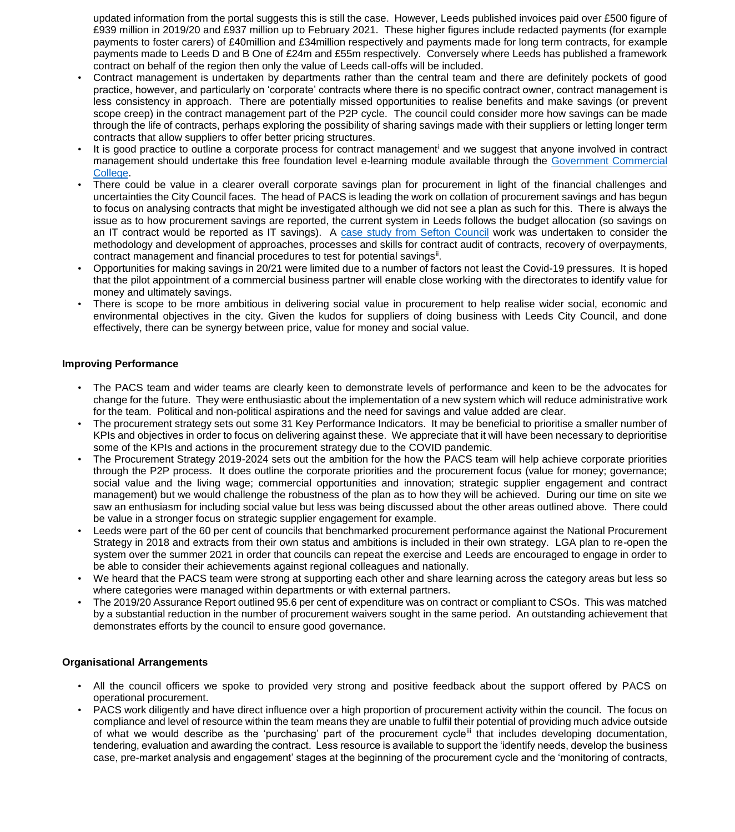updated information from the portal suggests this is still the case. However, Leeds published invoices paid over £500 figure of £939 million in 2019/20 and £937 million up to February 2021. These higher figures include redacted payments (for example payments to foster carers) of £40million and £34million respectively and payments made for long term contracts, for example payments made to Leeds D and B One of £24m and £55m respectively. Conversely where Leeds has published a framework contract on behalf of the region then only the value of Leeds call-offs will be included.

- Contract management is undertaken by departments rather than the central team and there are definitely pockets of good practice, however, and particularly on 'corporate' contracts where there is no specific contract owner, contract management is less consistency in approach. There are potentially missed opportunities to realise benefits and make savings (or prevent scope creep) in the contract management part of the P2P cycle. The council could consider more how savings can be made through the life of contracts, perhaps exploring the possibility of sharing savings made with their suppliers or letting longer term contracts that allow suppliers to offer better pricing structures.
- It is good practice to outline a corporate process for contract management<sup>i</sup> and we suggest that anyone involved in contract management should undertake this free foundation level e-learning module available through the [Government Commercial](https://www.govcommercialcollege.co.uk/auth/cabinetoffice/login.php)  [College.](https://www.govcommercialcollege.co.uk/auth/cabinetoffice/login.php)
- There could be value in a clearer overall corporate savings plan for procurement in light of the financial challenges and uncertainties the City Council faces. The head of PACS is leading the work on collation of procurement savings and has begun to focus on analysing contracts that might be investigated although we did not see a plan as such for this. There is always the issue as to how procurement savings are reported, the current system in Leeds follows the budget allocation (so savings on an IT contract would be reported as IT savings). A [case study from Sefton Council](https://www.local.gov.uk/case-studies/testing-savings-around-contract-compliance-and-negotiation) work was undertaken to consider the methodology and development of approaches, processes and skills for contract audit of contracts, recovery of overpayments, contract management and financial procedures to test for potential savings<sup>ii</sup>.
- Opportunities for making savings in 20/21 were limited due to a number of factors not least the Covid-19 pressures. It is hoped that the pilot appointment of a commercial business partner will enable close working with the directorates to identify value for money and ultimately savings.
- There is scope to be more ambitious in delivering social value in procurement to help realise wider social, economic and environmental objectives in the city. Given the kudos for suppliers of doing business with Leeds City Council, and done effectively, there can be synergy between price, value for money and social value.

#### **Improving Performance**

- The PACS team and wider teams are clearly keen to demonstrate levels of performance and keen to be the advocates for change for the future. They were enthusiastic about the implementation of a new system which will reduce administrative work for the team. Political and non-political aspirations and the need for savings and value added are clear.
- The procurement strategy sets out some 31 Key Performance Indicators. It may be beneficial to prioritise a smaller number of KPIs and objectives in order to focus on delivering against these. We appreciate that it will have been necessary to deprioritise some of the KPIs and actions in the procurement strategy due to the COVID pandemic.
- The Procurement Strategy 2019-2024 sets out the ambition for the how the PACS team will help achieve corporate priorities through the P2P process. It does outline the corporate priorities and the procurement focus (value for money; governance; social value and the living wage; commercial opportunities and innovation; strategic supplier engagement and contract management) but we would challenge the robustness of the plan as to how they will be achieved. During our time on site we saw an enthusiasm for including social value but less was being discussed about the other areas outlined above. There could be value in a stronger focus on strategic supplier engagement for example.
- Leeds were part of the 60 per cent of councils that benchmarked procurement performance against the National Procurement Strategy in 2018 and extracts from their own status and ambitions is included in their own strategy. LGA plan to re-open the system over the summer 2021 in order that councils can repeat the exercise and Leeds are encouraged to engage in order to be able to consider their achievements against regional colleagues and nationally.
- We heard that the PACS team were strong at supporting each other and share learning across the category areas but less so where categories were managed within departments or with external partners.
- The 2019/20 Assurance Report outlined 95.6 per cent of expenditure was on contract or compliant to CSOs. This was matched by a substantial reduction in the number of procurement waivers sought in the same period. An outstanding achievement that demonstrates efforts by the council to ensure good governance.

# **Organisational Arrangements**

- All the council officers we spoke to provided very strong and positive feedback about the support offered by PACS on operational procurement.
- PACS work diligently and have direct influence over a high proportion of procurement activity within the council. The focus on compliance and level of resource within the team means they are unable to fulfil their potential of providing much advice outside of what we would describe as the 'purchasing' part of the procurement cycle<sup>iii</sup> that includes developing documentation, tendering, evaluation and awarding the contract. Less resource is available to support the 'identify needs, develop the business case, pre-market analysis and engagement' stages at the beginning of the procurement cycle and the 'monitoring of contracts,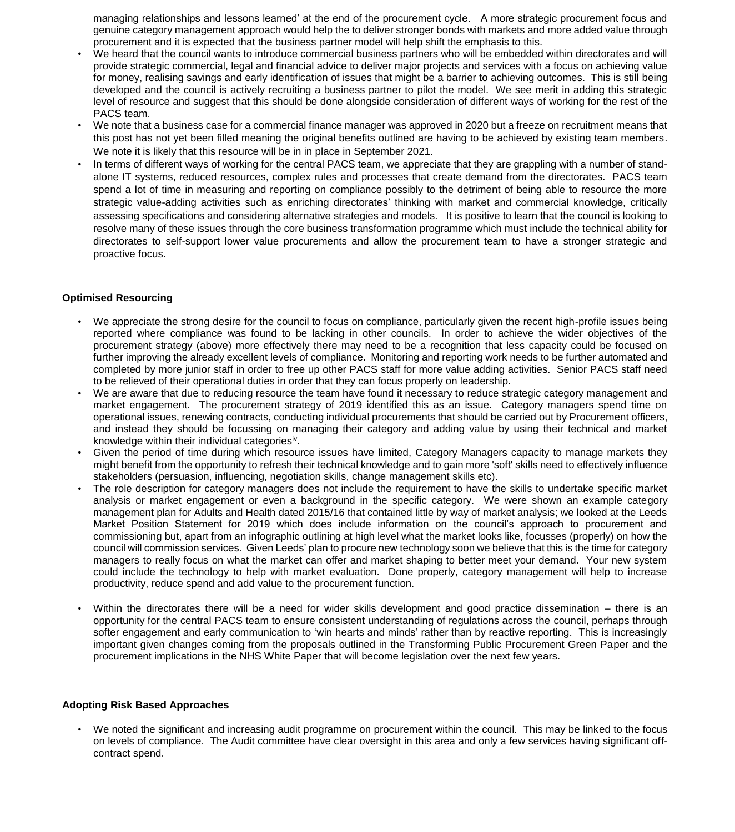managing relationships and lessons learned' at the end of the procurement cycle. A more strategic procurement focus and genuine category management approach would help the to deliver stronger bonds with markets and more added value through procurement and it is expected that the business partner model will help shift the emphasis to this.

- We heard that the council wants to introduce commercial business partners who will be embedded within directorates and will provide strategic commercial, legal and financial advice to deliver major projects and services with a focus on achieving value for money, realising savings and early identification of issues that might be a barrier to achieving outcomes. This is still being developed and the council is actively recruiting a business partner to pilot the model. We see merit in adding this strategic level of resource and suggest that this should be done alongside consideration of different ways of working for the rest of the PACS team.
- We note that a business case for a commercial finance manager was approved in 2020 but a freeze on recruitment means that this post has not yet been filled meaning the original benefits outlined are having to be achieved by existing team members. We note it is likely that this resource will be in in place in September 2021.
- In terms of different ways of working for the central PACS team, we appreciate that they are grappling with a number of standalone IT systems, reduced resources, complex rules and processes that create demand from the directorates. PACS team spend a lot of time in measuring and reporting on compliance possibly to the detriment of being able to resource the more strategic value-adding activities such as enriching directorates' thinking with market and commercial knowledge, critically assessing specifications and considering alternative strategies and models. It is positive to learn that the council is looking to resolve many of these issues through the core business transformation programme which must include the technical ability for directorates to self-support lower value procurements and allow the procurement team to have a stronger strategic and proactive focus.

# **Optimised Resourcing**

- We appreciate the strong desire for the council to focus on compliance, particularly given the recent high-profile issues being reported where compliance was found to be lacking in other councils. In order to achieve the wider objectives of the procurement strategy (above) more effectively there may need to be a recognition that less capacity could be focused on further improving the already excellent levels of compliance. Monitoring and reporting work needs to be further automated and completed by more junior staff in order to free up other PACS staff for more value adding activities. Senior PACS staff need to be relieved of their operational duties in order that they can focus properly on leadership.
- We are aware that due to reducing resource the team have found it necessary to reduce strategic category management and market engagement. The procurement strategy of 2019 identified this as an issue. Category managers spend time on operational issues, renewing contracts, conducting individual procurements that should be carried out by Procurement officers, and instead they should be focussing on managing their category and adding value by using their technical and market knowledge within their individual categoriesiv.
- Given the period of time during which resource issues have limited, Category Managers capacity to manage markets they might benefit from the opportunity to refresh their technical knowledge and to gain more 'soft' skills need to effectively influence stakeholders (persuasion, influencing, negotiation skills, change management skills etc).
- The role description for category managers does not include the requirement to have the skills to undertake specific market analysis or market engagement or even a background in the specific category. We were shown an example category management plan for Adults and Health dated 2015/16 that contained little by way of market analysis; we looked at the Leeds Market Position Statement for 2019 which does include information on the council's approach to procurement and commissioning but, apart from an infographic outlining at high level what the market looks like, focusses (properly) on how the council will commission services. Given Leeds' plan to procure new technology soon we believe that this is the time for category managers to really focus on what the market can offer and market shaping to better meet your demand. Your new system could include the technology to help with market evaluation. Done properly, category management will help to increase productivity, reduce spend and add value to the procurement function.
- Within the directorates there will be a need for wider skills development and good practice dissemination there is an opportunity for the central PACS team to ensure consistent understanding of regulations across the council, perhaps through softer engagement and early communication to 'win hearts and minds' rather than by reactive reporting. This is increasingly important given changes coming from the proposals outlined in the Transforming Public Procurement Green Paper and the procurement implications in the NHS White Paper that will become legislation over the next few years.

# **Adopting Risk Based Approaches**

• We noted the significant and increasing audit programme on procurement within the council. This may be linked to the focus on levels of compliance. The Audit committee have clear oversight in this area and only a few services having significant offcontract spend.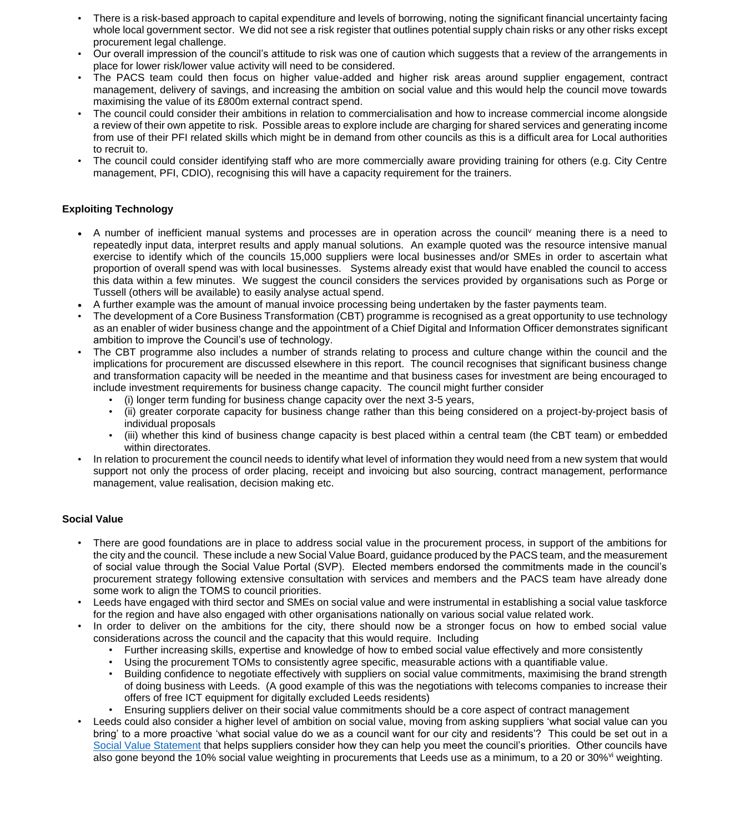- There is a risk-based approach to capital expenditure and levels of borrowing, noting the significant financial uncertainty facing whole local government sector. We did not see a risk register that outlines potential supply chain risks or any other risks except procurement legal challenge.
- Our overall impression of the council's attitude to risk was one of caution which suggests that a review of the arrangements in place for lower risk/lower value activity will need to be considered.
- The PACS team could then focus on higher value-added and higher risk areas around supplier engagement, contract management, delivery of savings, and increasing the ambition on social value and this would help the council move towards maximising the value of its £800m external contract spend.
- The council could consider their ambitions in relation to commercialisation and how to increase commercial income alongside a review of their own appetite to risk. Possible areas to explore include are charging for shared services and generating income from use of their PFI related skills which might be in demand from other councils as this is a difficult area for Local authorities to recruit to.
- The council could consider identifying staff who are more commercially aware providing training for others (e.g. City Centre management, PFI, CDIO), recognising this will have a capacity requirement for the trainers.

# **Exploiting Technology**

- A number of inefficient manual systems and processes are in operation across the council<sup>y</sup> meaning there is a need to repeatedly input data, interpret results and apply manual solutions. An example quoted was the resource intensive manual exercise to identify which of the councils 15,000 suppliers were local businesses and/or SMEs in order to ascertain what proportion of overall spend was with local businesses. Systems already exist that would have enabled the council to access this data within a few minutes. We suggest the council considers the services provided by organisations such as Porge or Tussell (others will be available) to easily analyse actual spend.
- A further example was the amount of manual invoice processing being undertaken by the faster payments team.
- The development of a Core Business Transformation (CBT) programme is recognised as a great opportunity to use technology as an enabler of wider business change and the appointment of a Chief Digital and Information Officer demonstrates significant ambition to improve the Council's use of technology.
- The CBT programme also includes a number of strands relating to process and culture change within the council and the implications for procurement are discussed elsewhere in this report. The council recognises that significant business change and transformation capacity will be needed in the meantime and that business cases for investment are being encouraged to include investment requirements for business change capacity. The council might further consider
	- (i) longer term funding for business change capacity over the next 3-5 years,
	- (ii) greater corporate capacity for business change rather than this being considered on a project-by-project basis of individual proposals
	- (iii) whether this kind of business change capacity is best placed within a central team (the CBT team) or embedded within directorates.
- In relation to procurement the council needs to identify what level of information they would need from a new system that would support not only the process of order placing, receipt and invoicing but also sourcing, contract management, performance management, value realisation, decision making etc.

# **Social Value**

- There are good foundations are in place to address social value in the procurement process, in support of the ambitions for the city and the council. These include a new Social Value Board, guidance produced by the PACS team, and the measurement of social value through the Social Value Portal (SVP). Elected members endorsed the commitments made in the council's procurement strategy following extensive consultation with services and members and the PACS team have already done some work to align the TOMS to council priorities.
- Leeds have engaged with third sector and SMEs on social value and were instrumental in establishing a social value taskforce for the region and have also engaged with other organisations nationally on various social value related work.
- In order to deliver on the ambitions for the city, there should now be a stronger focus on how to embed social value considerations across the council and the capacity that this would require. Including
	- Further increasing skills, expertise and knowledge of how to embed social value effectively and more consistently
	- Using the procurement TOMs to consistently agree specific, measurable actions with a quantifiable value.
	- Building confidence to negotiate effectively with suppliers on social value commitments, maximising the brand strength of doing business with Leeds. (A good example of this was the negotiations with telecoms companies to increase their offers of free ICT equipment for digitally excluded Leeds residents)
	- Ensuring suppliers deliver on their social value commitments should be a core aspect of contract management
- Leeds could also consider a higher level of ambition on social value, moving from asking suppliers 'what social value can you bring' to a more proactive 'what social value do we as a council want for our city and residents'? This could be set out in a [Social Value Statement](https://www.local.gov.uk/social-value-statement) that helps suppliers consider how they can help you meet the council's priorities. Other councils have also gone beyond the 10% social value weighting in procurements that Leeds use as a minimum, to a 20 or 30%<sup>vi</sup> weighting.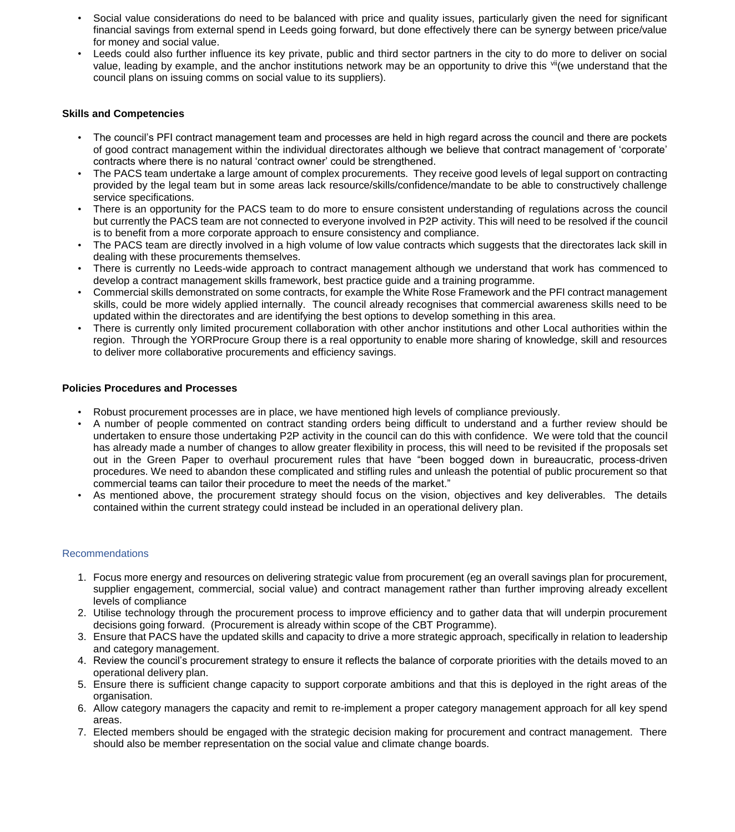- Social value considerations do need to be balanced with price and quality issues, particularly given the need for significant financial savings from external spend in Leeds going forward, but done effectively there can be synergy between price/value for money and social value.
- Leeds could also further influence its key private, public and third sector partners in the city to do more to deliver on social value, leading by example, and the anchor institutions network may be an opportunity to drive this villume understand that the council plans on issuing comms on social value to its suppliers).

#### **Skills and Competencies**

- The council's PFI contract management team and processes are held in high regard across the council and there are pockets of good contract management within the individual directorates although we believe that contract management of 'corporate' contracts where there is no natural 'contract owner' could be strengthened.
- The PACS team undertake a large amount of complex procurements. They receive good levels of legal support on contracting provided by the legal team but in some areas lack resource/skills/confidence/mandate to be able to constructively challenge service specifications.
- There is an opportunity for the PACS team to do more to ensure consistent understanding of regulations across the council but currently the PACS team are not connected to everyone involved in P2P activity. This will need to be resolved if the council is to benefit from a more corporate approach to ensure consistency and compliance.
- The PACS team are directly involved in a high volume of low value contracts which suggests that the directorates lack skill in dealing with these procurements themselves.
- There is currently no Leeds-wide approach to contract management although we understand that work has commenced to develop a contract management skills framework, best practice guide and a training programme.
- Commercial skills demonstrated on some contracts, for example the White Rose Framework and the PFI contract management skills, could be more widely applied internally. The council already recognises that commercial awareness skills need to be updated within the directorates and are identifying the best options to develop something in this area.
- There is currently only limited procurement collaboration with other anchor institutions and other Local authorities within the region. Through the YORProcure Group there is a real opportunity to enable more sharing of knowledge, skill and resources to deliver more collaborative procurements and efficiency savings.

#### **Policies Procedures and Processes**

- Robust procurement processes are in place, we have mentioned high levels of compliance previously.
- A number of people commented on contract standing orders being difficult to understand and a further review should be undertaken to ensure those undertaking P2P activity in the council can do this with confidence. We were told that the council has already made a number of changes to allow greater flexibility in process, this will need to be revisited if the proposals set out in the Green Paper to overhaul procurement rules that have "been bogged down in bureaucratic, process-driven procedures. We need to abandon these complicated and stifling rules and unleash the potential of public procurement so that commercial teams can tailor their procedure to meet the needs of the market."
- As mentioned above, the procurement strategy should focus on the vision, objectives and key deliverables. The details contained within the current strategy could instead be included in an operational delivery plan.

#### Recommendations

- 1. Focus more energy and resources on delivering strategic value from procurement (eg an overall savings plan for procurement, supplier engagement, commercial, social value) and contract management rather than further improving already excellent levels of compliance
- 2. Utilise technology through the procurement process to improve efficiency and to gather data that will underpin procurement decisions going forward. (Procurement is already within scope of the CBT Programme).
- 3. Ensure that PACS have the updated skills and capacity to drive a more strategic approach, specifically in relation to leadership and category management.
- 4. Review the council's procurement strategy to ensure it reflects the balance of corporate priorities with the details moved to an operational delivery plan.
- 5. Ensure there is sufficient change capacity to support corporate ambitions and that this is deployed in the right areas of the organisation.
- 6. Allow category managers the capacity and remit to re-implement a proper category management approach for all key spend areas.
- 7. Elected members should be engaged with the strategic decision making for procurement and contract management. There should also be member representation on the social value and climate change boards.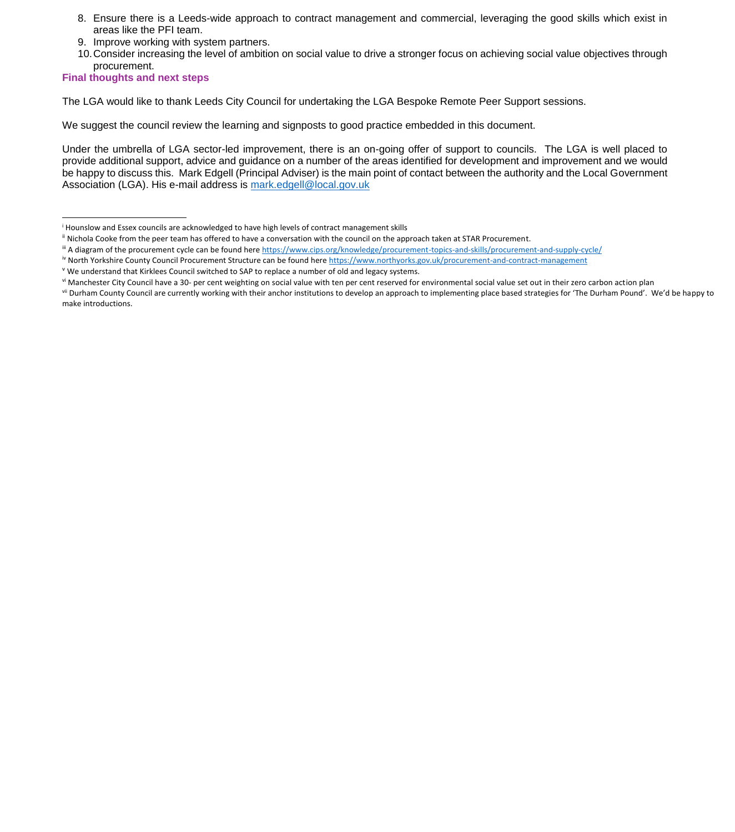- 8. Ensure there is a Leeds-wide approach to contract management and commercial, leveraging the good skills which exist in areas like the PFI team.
- 9. Improve working with system partners.
- 10.Consider increasing the level of ambition on social value to drive a stronger focus on achieving social value objectives through procurement.

**Final thoughts and next steps**

1

The LGA would like to thank Leeds City Council for undertaking the LGA Bespoke Remote Peer Support sessions.

We suggest the council review the learning and signposts to good practice embedded in this document.

Under the umbrella of LGA sector-led improvement, there is an on-going offer of support to councils. The LGA is well placed to provide additional support, advice and guidance on a number of the areas identified for development and improvement and we would be happy to discuss this. Mark Edgell (Principal Adviser) is the main point of contact between the authority and the Local Government Association (LGA). His e-mail address is [mark.edgell@local.gov.uk](mailto:mark.edgell@local.gov.uk)

iv North Yorkshire County Council Procurement Structure can be found here<https://www.northyorks.gov.uk/procurement-and-contract-management>

<sup>i</sup> Hounslow and Essex councils are acknowledged to have high levels of contract management skills

ii Nichola Cooke from the peer team has offered to have a conversation with the council on the approach taken at STAR Procurement.

iii A diagram of the procurement cycle can be found here<https://www.cips.org/knowledge/procurement-topics-and-skills/procurement-and-supply-cycle/>

<sup>&</sup>lt;sup>v</sup> We understand that Kirklees Council switched to SAP to replace a number of old and legacy systems.

vi Manchester City Council have a 30- per cent weighting on social value with ten per cent reserved for environmental social value set out in their zero carbon action plan

vii Durham County Council are currently working with their anchor institutions to develop an approach to implementing place based strategies for 'The Durham Pound'. We'd be happy to make introductions.